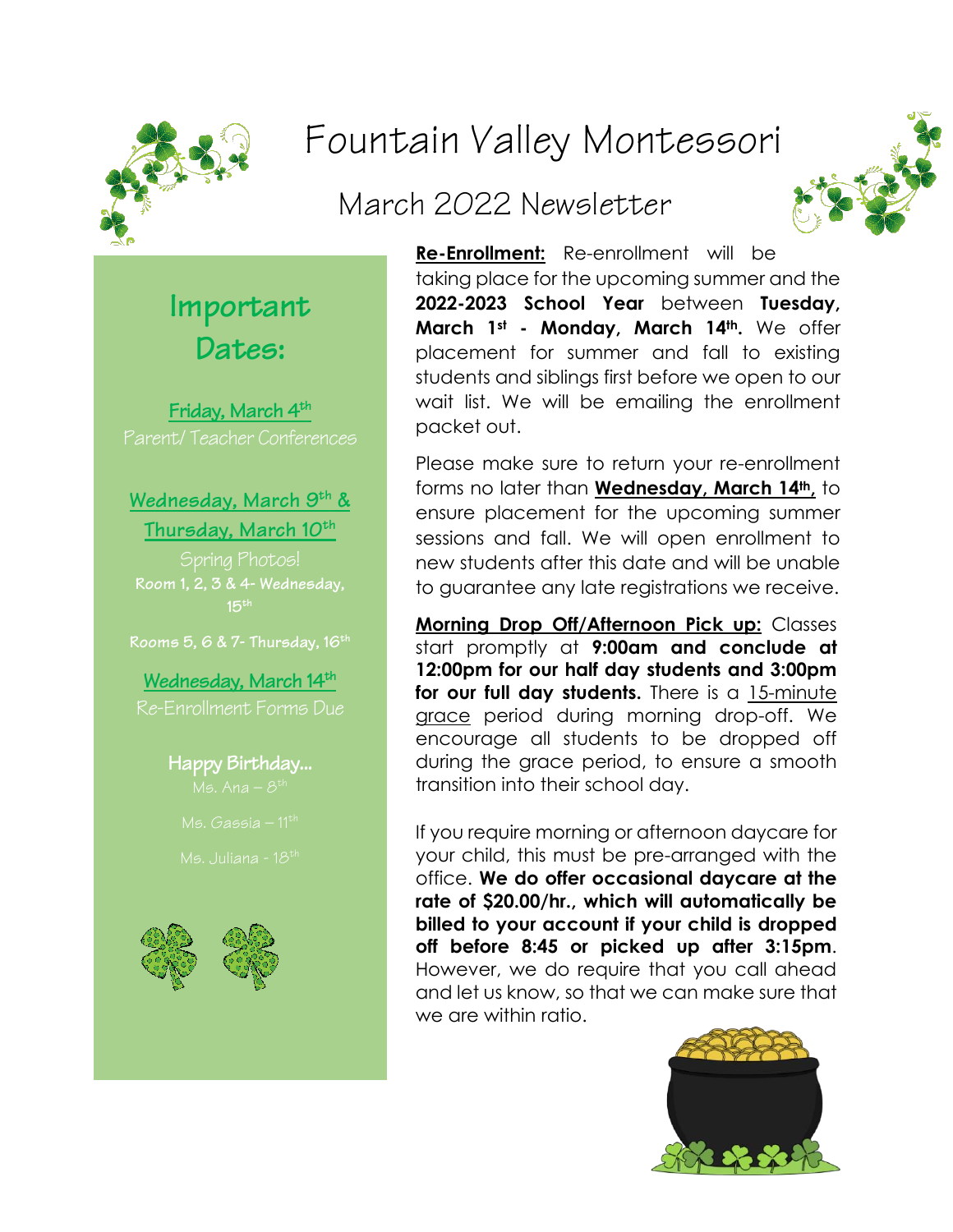

# Fountain Valley Montessori

## March 2022 Newsletter



**Important Dates:**

**Friday, March 4 th** Parent/ Teacher Conferences

**Wednesday, March 9 th & Thursday, March 10th** 

**15th**

**Rooms 5, 6 & 7- Thursday, 16th**

**Wednesday, March 14 th** Re-Enrollment Forms Due

**Happy Birthday...**



**Re-Enrollment:** Re-enrollment will be taking place for the upcoming summer and the **2022-2023 School Year** between **Tuesday, March 1st - Monday, March 14th.** We offer placement for summer and fall to existing students and siblings first before we open to our wait list. We will be emailing the enrollment packet out.

Please make sure to return your re-enrollment forms no later than **Wednesday, March 14th,** to ensure placement for the upcoming summer sessions and fall. We will open enrollment to new students after this date and will be unable to guarantee any late registrations we receive.

**Morning Drop Off/Afternoon Pick up:** Classes start promptly at **9:00am and conclude at 12:00pm for our half day students and 3:00pm**  for our full day students. There is a 15-minute grace period during morning drop-off. We encourage all students to be dropped off during the grace period, to ensure a smooth transition into their school day.

If you require morning or afternoon daycare for your child, this must be pre-arranged with the office. **We do offer occasional daycare at the rate of \$20.00/hr., which will automatically be billed to your account if your child is dropped off before 8:45 or picked up after 3:15pm**. However, we do require that you call ahead and let us know, so that we can make sure that we are within ratio.

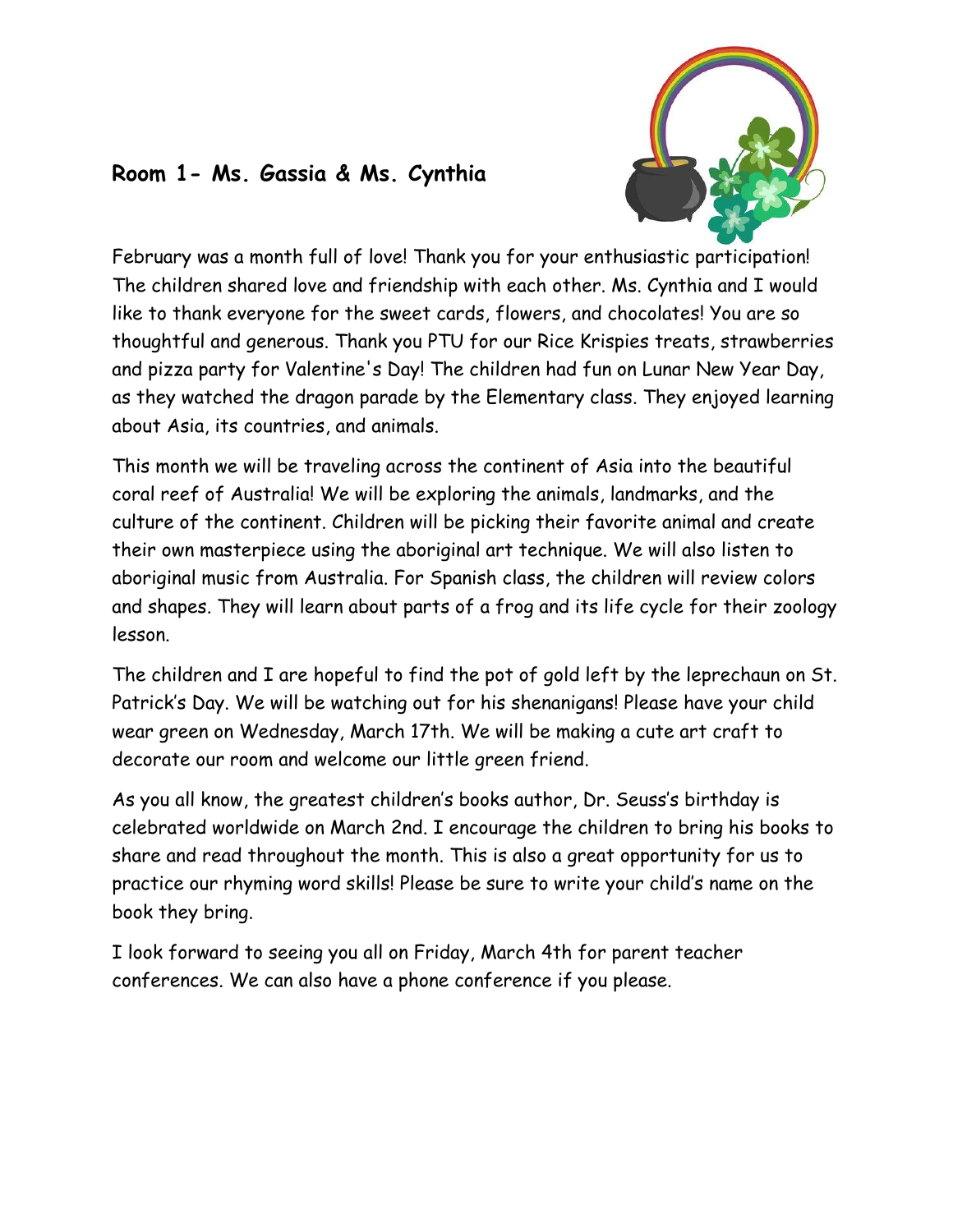

### **Room 1- Ms. Gassia & Ms. Cynthia**

February was a month full of love! Thank you for your enthusiastic participation! The children shared love and friendship with each other. Ms. Cynthia and I would like to thank everyone for the sweet cards, flowers, and chocolates! You are so thoughtful and generous. Thank you PTU for our Rice Krispies treats, strawberries and pizza party for Valentine's Day! The children had fun on Lunar New Year Day, as they watched the dragon parade by the Elementary class. They enjoyed learning about Asia, its countries, and animals.

This month we will be traveling across the continent of Asia into the beautiful coral reef of Australia! We will be exploring the animals, landmarks, and the culture of the continent. Children will be picking their favorite animal and create their own masterpiece using the aboriginal art technique. We will also listen to aboriginal music from Australia. For Spanish class, the children will review colors and shapes. They will learn about parts of a frog and its life cycle for their zoology lesson.

The children and I are hopeful to find the pot of gold left by the leprechaun on St. Patrick's Day. We will be watching out for his shenanigans! Please have your child wear green on Wednesday, March 17th. We will be making a cute art craft to decorate our room and welcome our little green friend.

As you all know, the greatest children's books author, Dr. Seuss's birthday is celebrated worldwide on March 2nd. I encourage the children to bring his books to share and read throughout the month. This is also a great opportunity for us to practice our rhyming word skills! Please be sure to write your child's name on the book they bring.

I look forward to seeing you all on Friday, March 4th for parent teacher conferences. We can also have a phone conference if you please.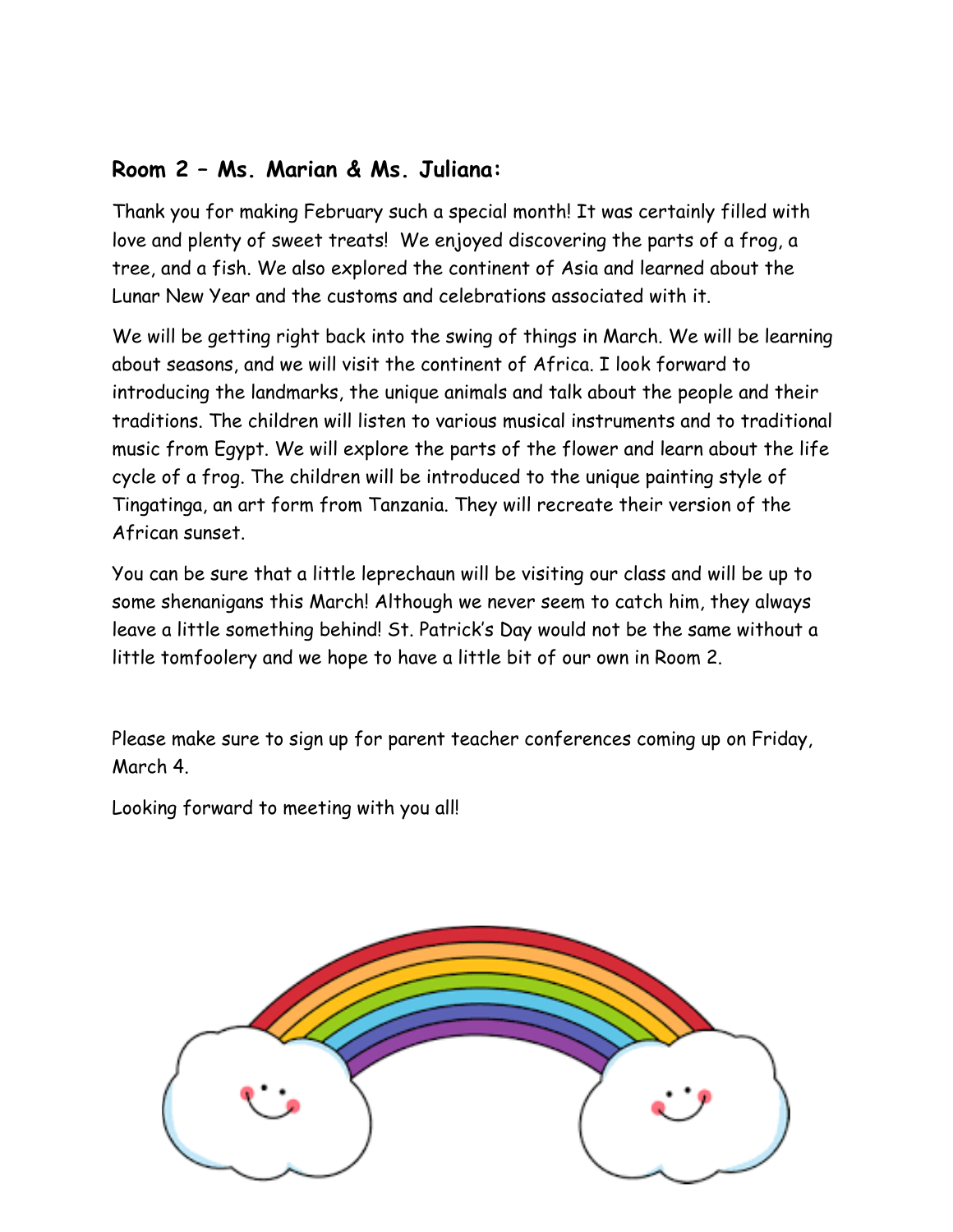#### **Room 2 – Ms. Marian & Ms. Juliana:**

Thank you for making February such a special month! It was certainly filled with love and plenty of sweet treats! We enjoyed discovering the parts of a frog, a tree, and a fish. We also explored the continent of Asia and learned about the Lunar New Year and the customs and celebrations associated with it.

We will be getting right back into the swing of things in March. We will be learning about seasons, and we will visit the continent of Africa. I look forward to introducing the landmarks, the unique animals and talk about the people and their traditions. The children will listen to various musical instruments and to traditional music from Egypt. We will explore the parts of the flower and learn about the life cycle of a frog. The children will be introduced to the unique painting style of Tingatinga, an art form from Tanzania. They will recreate their version of the African sunset.

You can be sure that a little leprechaun will be visiting our class and will be up to some shenanigans this March! Although we never seem to catch him, they always leave a little something behind! St. Patrick's Day would not be the same without a little tomfoolery and we hope to have a little bit of our own in Room 2.

Please make sure to sign up for parent teacher conferences coming up on Friday, March 4.

Looking forward to meeting with you all!

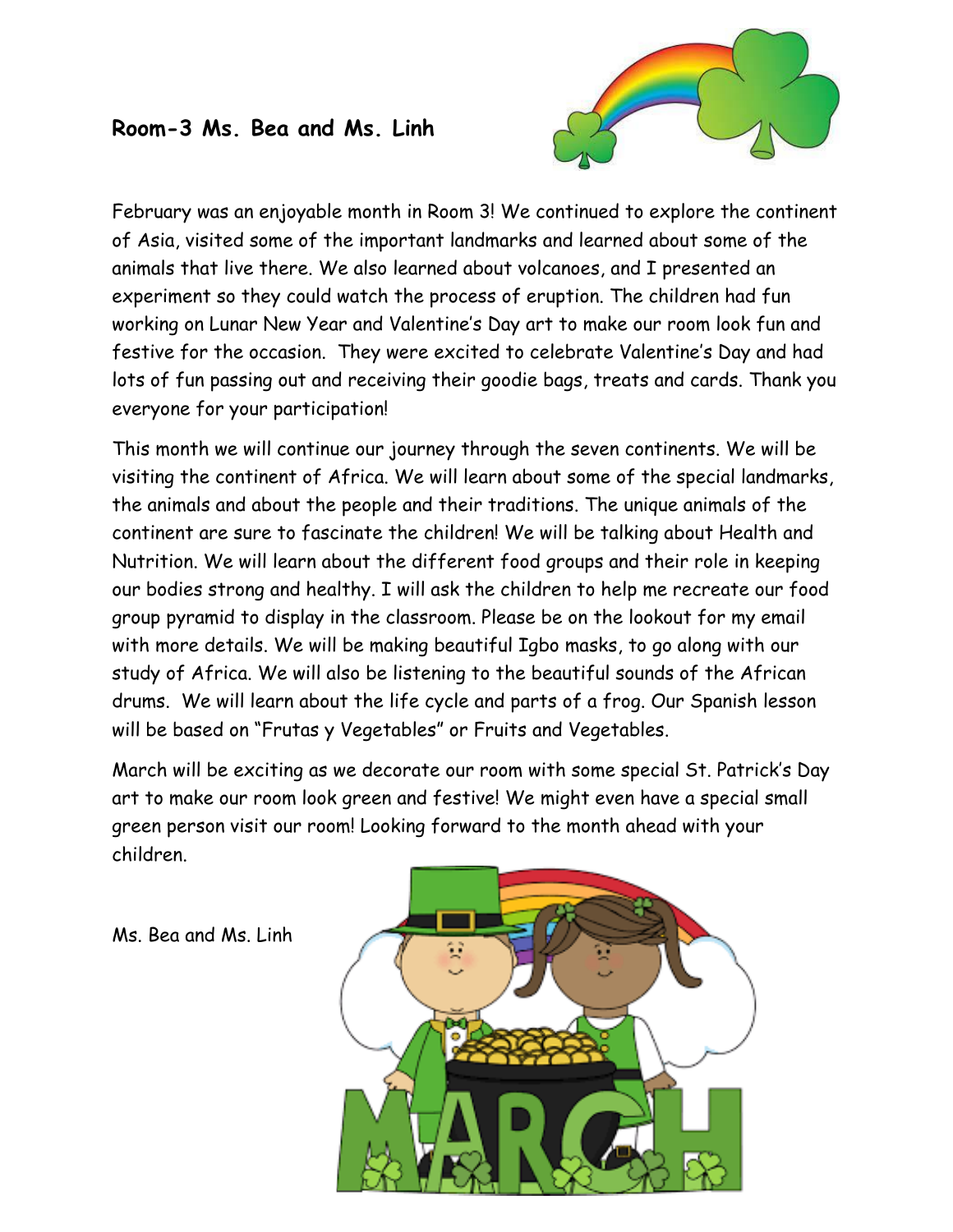#### **Room-3 Ms. Bea and Ms. Linh**



February was an enjoyable month in Room 3! We continued to explore the continent of Asia, visited some of the important landmarks and learned about some of the animals that live there. We also learned about volcanoes, and I presented an experiment so they could watch the process of eruption. The children had fun working on Lunar New Year and Valentine's Day art to make our room look fun and festive for the occasion. They were excited to celebrate Valentine's Day and had lots of fun passing out and receiving their goodie bags, treats and cards. Thank you everyone for your participation!

This month we will continue our journey through the seven continents. We will be visiting the continent of Africa. We will learn about some of the special landmarks, the animals and about the people and their traditions. The unique animals of the continent are sure to fascinate the children! We will be talking about Health and Nutrition. We will learn about the different food groups and their role in keeping our bodies strong and healthy. I will ask the children to help me recreate our food group pyramid to display in the classroom. Please be on the lookout for my email with more details. We will be making beautiful Igbo masks, to go along with our study of Africa. We will also be listening to the beautiful sounds of the African drums. We will learn about the life cycle and parts of a frog. Our Spanish lesson will be based on "Frutas y Vegetables" or Fruits and Vegetables.

March will be exciting as we decorate our room with some special St. Patrick's Day art to make our room look green and festive! We might even have a special small green person visit our room! Looking forward to the month ahead with your children.

Ms. Bea and Ms. Linh

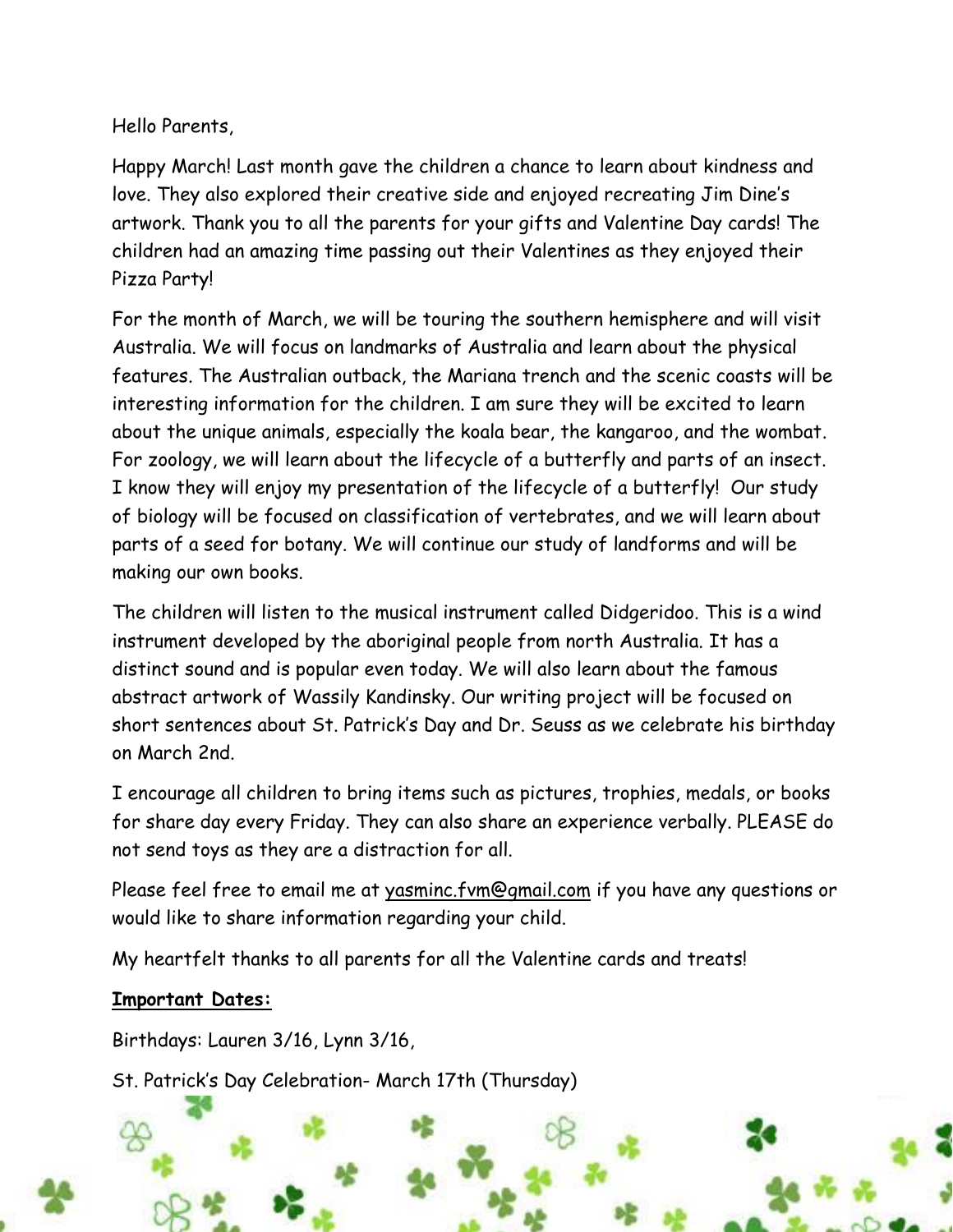Hello Parents,

Happy March! Last month gave the children a chance to learn about kindness and love. They also explored their creative side and enjoyed recreating Jim Dine's artwork. Thank you to all the parents for your gifts and Valentine Day cards! The children had an amazing time passing out their Valentines as they enjoyed their Pizza Party!

For the month of March, we will be touring the southern hemisphere and will visit Australia. We will focus on landmarks of Australia and learn about the physical features. The Australian outback, the Mariana trench and the scenic coasts will be interesting information for the children. I am sure they will be excited to learn about the unique animals, especially the koala bear, the kangaroo, and the wombat. For zoology, we will learn about the lifecycle of a butterfly and parts of an insect. I know they will enjoy my presentation of the lifecycle of a butterfly! Our study of biology will be focused on classification of vertebrates, and we will learn about parts of a seed for botany. We will continue our study of landforms and will be making our own books.

The children will listen to the musical instrument called Didgeridoo. This is a wind instrument developed by the aboriginal people from north Australia. It has a distinct sound and is popular even today. We will also learn about the famous abstract artwork of Wassily Kandinsky. Our writing project will be focused on short sentences about St. Patrick's Day and Dr. Seuss as we celebrate his birthday on March 2nd.

I encourage all children to bring items such as pictures, trophies, medals, or books for share day every Friday. They can also share an experience verbally. PLEASE do not send toys as they are a distraction for all.

Please feel free to email me at yasminc.fvm@gmail.com if you have any questions or would like to share information regarding your child.

My heartfelt thanks to all parents for all the Valentine cards and treats!

#### **Important Dates:**

Birthdays: Lauren 3/16, Lynn 3/16,

St. Patrick's Day Celebration- March 17th (Thursday)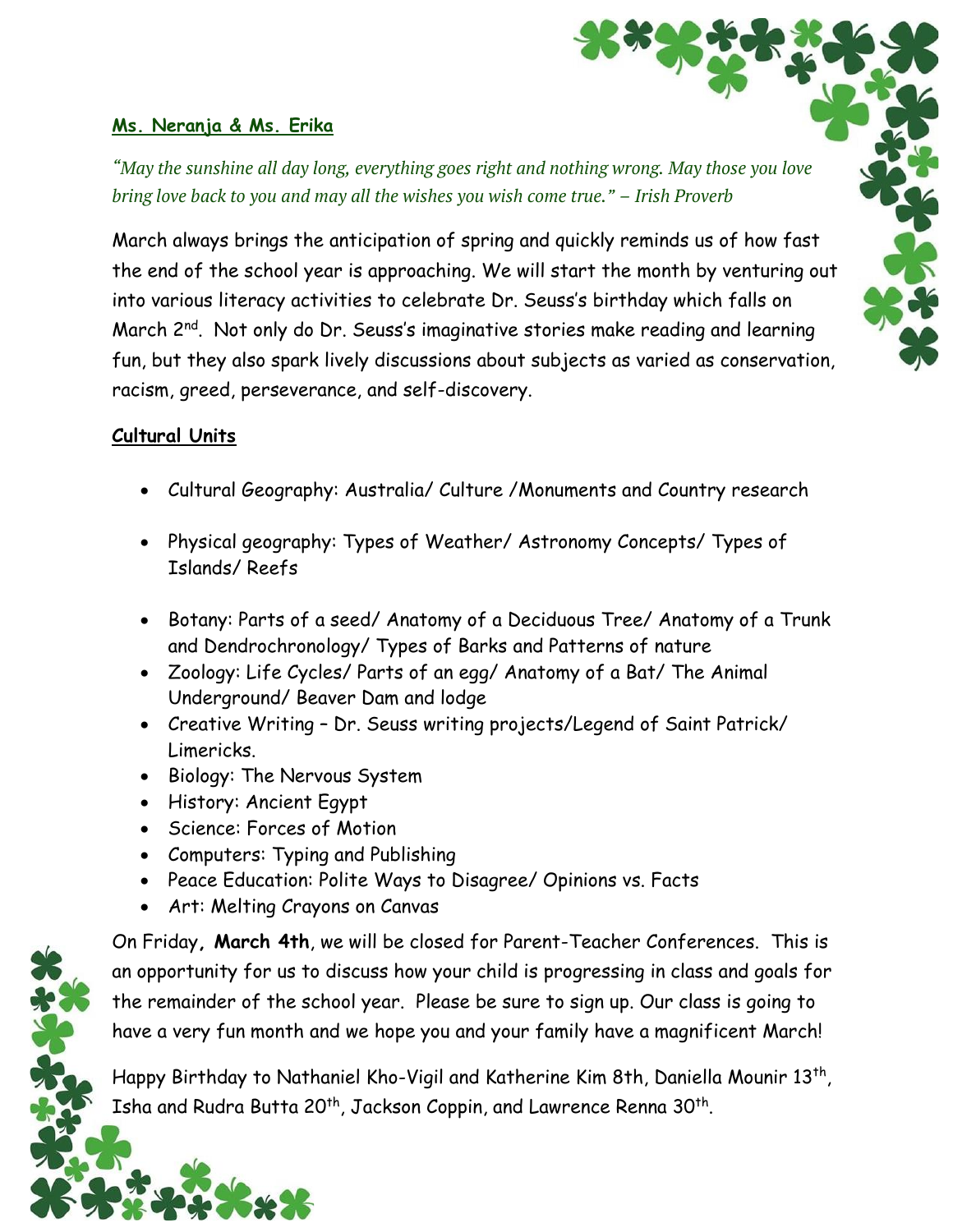#### **Ms. Neranja & Ms. Erika**

*"May the sunshine all day long, everything goes right and nothing wrong. May those you love bring love back to you and may all the wishes you wish come true." – Irish Proverb*

March always brings the anticipation of spring and quickly reminds us of how fast the end of the school year is approaching. We will start the month by venturing out into various literacy activities to celebrate Dr. Seuss's birthday which falls on March 2<sup>nd</sup>. Not only do Dr. Seuss's imaginative stories make reading and learning fun, but they also spark lively discussions about subjects as varied as conservation, racism, greed, perseverance, and self-discovery.

#### **Cultural Units**

- Cultural Geography: Australia/ Culture /Monuments and Country research
- Physical geography: Types of Weather/ Astronomy Concepts/ Types of Islands/ Reefs
- Botany: Parts of a seed/ Anatomy of a Deciduous Tree/ Anatomy of a Trunk and Dendrochronology/ Types of Barks and Patterns of nature
- Zoology: Life Cycles/ Parts of an egg/ Anatomy of a Bat/ The Animal Underground/ Beaver Dam and lodge
- Creative Writing Dr. Seuss writing projects/Legend of Saint Patrick/ Limericks.
- Biology: The Nervous System
- History: Ancient Egypt
- Science: Forces of Motion
- Computers: Typing and Publishing
- Peace Education: Polite Ways to Disagree/ Opinions vs. Facts
- Art: Melting Crayons on Canvas

On Friday**, March 4th**, we will be closed for Parent-Teacher Conferences. This is an opportunity for us to discuss how your child is progressing in class and goals for the remainder of the school year. Please be sure to sign up. Our class is going to have a very fun month and we hope you and your family have a magnificent March!

Happy Birthday to Nathaniel Kho-Vigil and Katherine Kim 8th, Daniella Mounir 13<sup>th</sup>, Isha and Rudra Butta 20<sup>th</sup>, Jackson Coppin, and Lawrence Renna 30<sup>th</sup>.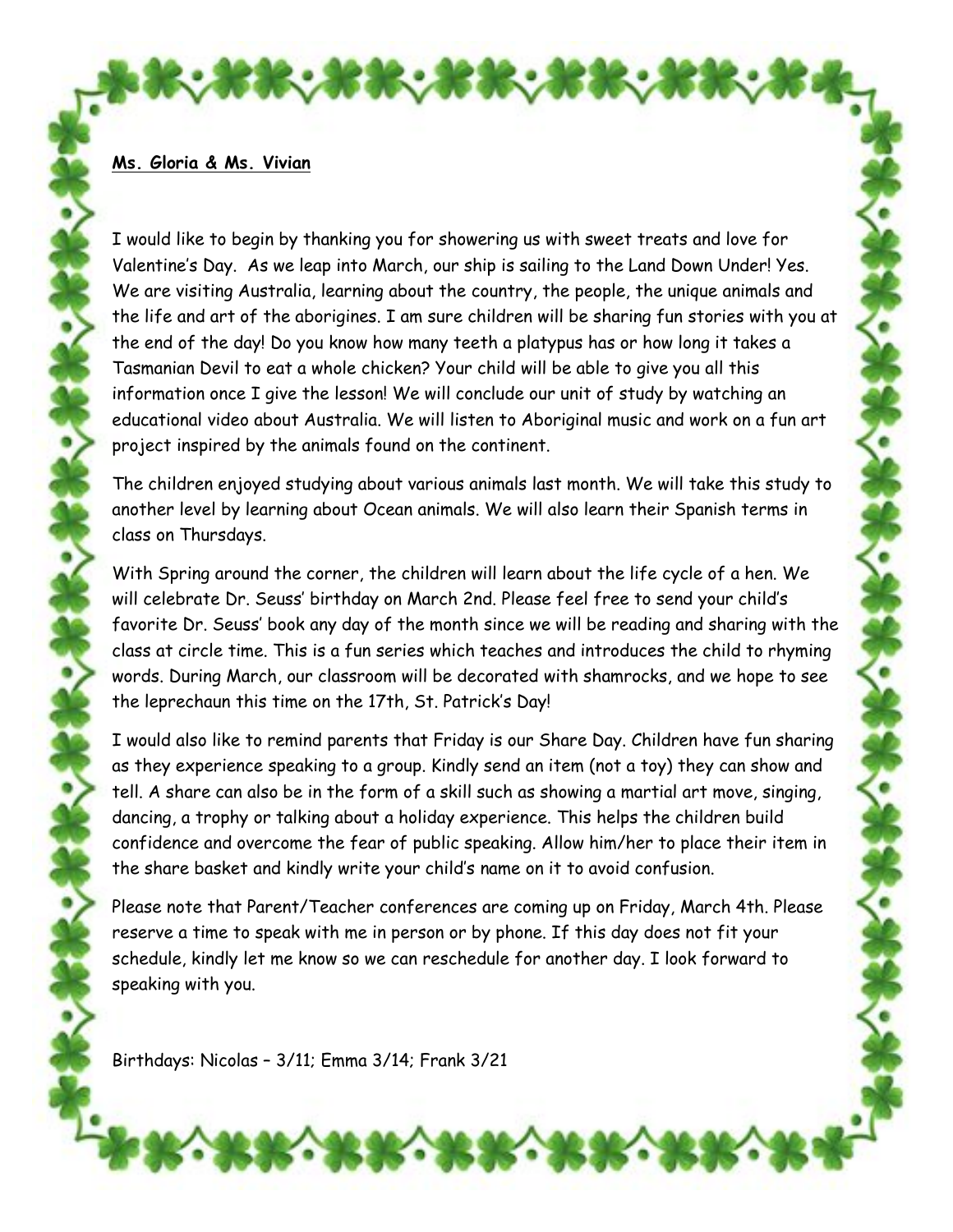#### **Ms. Gloria & Ms. Vivian**

I would like to begin by thanking you for showering us with sweet treats and love for Valentine's Day. As we leap into March, our ship is sailing to the Land Down Under! Yes. We are visiting Australia, learning about the country, the people, the unique animals and the life and art of the aborigines. I am sure children will be sharing fun stories with you at the end of the day! Do you know how many teeth a platypus has or how long it takes a Tasmanian Devil to eat a whole chicken? Your child will be able to give you all this information once I give the lesson! We will conclude our unit of study by watching an educational video about Australia. We will listen to Aboriginal music and work on a fun art project inspired by the animals found on the continent.

The children enjoyed studying about various animals last month. We will take this study to another level by learning about Ocean animals. We will also learn their Spanish terms in class on Thursdays.

With Spring around the corner, the children will learn about the life cycle of a hen. We will celebrate Dr. Seuss' birthday on March 2nd. Please feel free to send your child's favorite Dr. Seuss' book any day of the month since we will be reading and sharing with the class at circle time. This is a fun series which teaches and introduces the child to rhyming words. During March, our classroom will be decorated with shamrocks, and we hope to see the leprechaun this time on the 17th, St. Patrick's Day!

I would also like to remind parents that Friday is our Share Day. Children have fun sharing as they experience speaking to a group. Kindly send an item (not a toy) they can show and tell. A share can also be in the form of a skill such as showing a martial art move, singing, dancing, a trophy or talking about a holiday experience. This helps the children build confidence and overcome the fear of public speaking. Allow him/her to place their item in the share basket and kindly write your child's name on it to avoid confusion.

Please note that Parent/Teacher conferences are coming up on Friday, March 4th. Please reserve a time to speak with me in person or by phone. If this day does not fit your schedule, kindly let me know so we can reschedule for another day. I look forward to speaking with you.

Birthdays: Nicolas – 3/11; Emma 3/14; Frank 3/21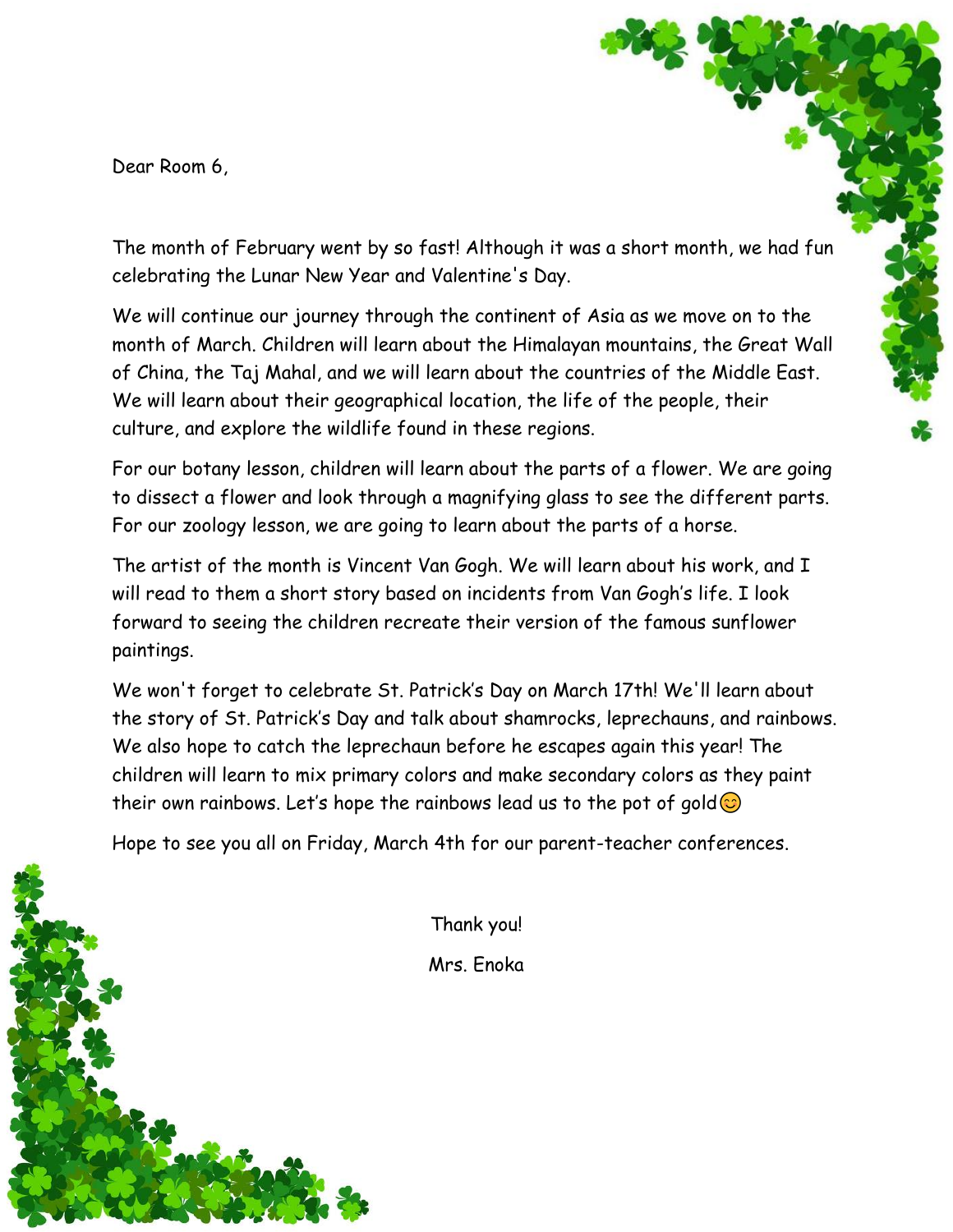Dear Room 6,

The month of February went by so fast! Although it was a short month, we had fun celebrating the Lunar New Year and Valentine's Day.

We will continue our journey through the continent of Asia as we move on to the month of March. Children will learn about the Himalayan mountains, the Great Wall of China, the Taj Mahal, and we will learn about the countries of the Middle East. We will learn about their geographical location, the life of the people, their culture, and explore the wildlife found in these regions.

For our botany lesson, children will learn about the parts of a flower. We are going to dissect a flower and look through a magnifying glass to see the different parts. For our zoology lesson, we are going to learn about the parts of a horse.

The artist of the month is Vincent Van Gogh. We will learn about his work, and I will read to them a short story based on incidents from Van Gogh's life. I look forward to seeing the children recreate their version of the famous sunflower paintings.

We won't forget to celebrate St. Patrick's Day on March 17th! We'll learn about the story of St. Patrick's Day and talk about shamrocks, leprechauns, and rainbows. We also hope to catch the leprechaun before he escapes again this year! The children will learn to mix primary colors and make secondary colors as they paint their own rainbows. Let's hope the rainbows lead us to the pot of gold  $\odot$ 

Hope to see you all on Friday, March 4th for our parent-teacher conferences.

Thank you! Mrs. Enoka